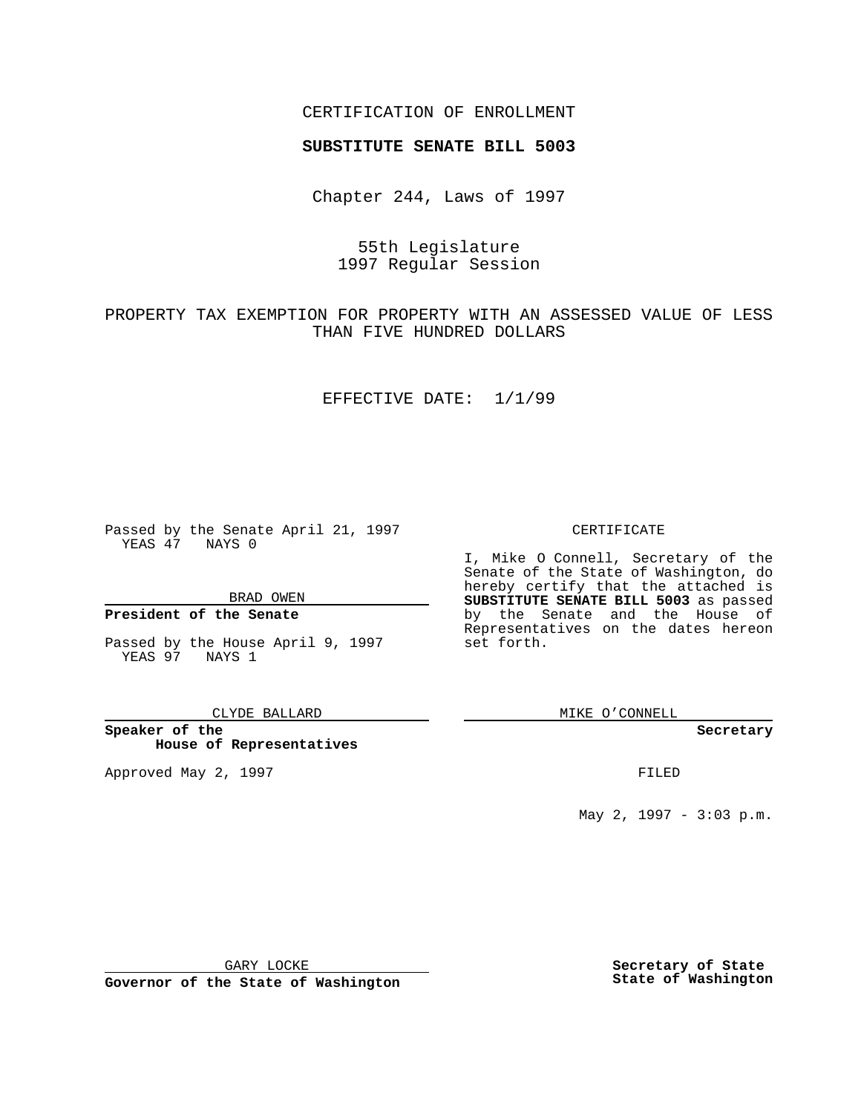### CERTIFICATION OF ENROLLMENT

# **SUBSTITUTE SENATE BILL 5003**

Chapter 244, Laws of 1997

# 55th Legislature 1997 Regular Session

# PROPERTY TAX EXEMPTION FOR PROPERTY WITH AN ASSESSED VALUE OF LESS THAN FIVE HUNDRED DOLLARS

### EFFECTIVE DATE: 1/1/99

Passed by the Senate April 21, 1997 YEAS 47 NAYS 0

BRAD OWEN

### **President of the Senate**

Passed by the House April 9, 1997 YEAS 97 NAYS 1

#### CLYDE BALLARD

**Speaker of the House of Representatives**

Approved May 2, 1997 **FILED** 

### CERTIFICATE

I, Mike O Connell, Secretary of the Senate of the State of Washington, do hereby certify that the attached is **SUBSTITUTE SENATE BILL 5003** as passed by the Senate and the House of Representatives on the dates hereon set forth.

MIKE O'CONNELL

### **Secretary**

May 2, 1997 - 3:03 p.m.

GARY LOCKE

**Governor of the State of Washington**

**Secretary of State State of Washington**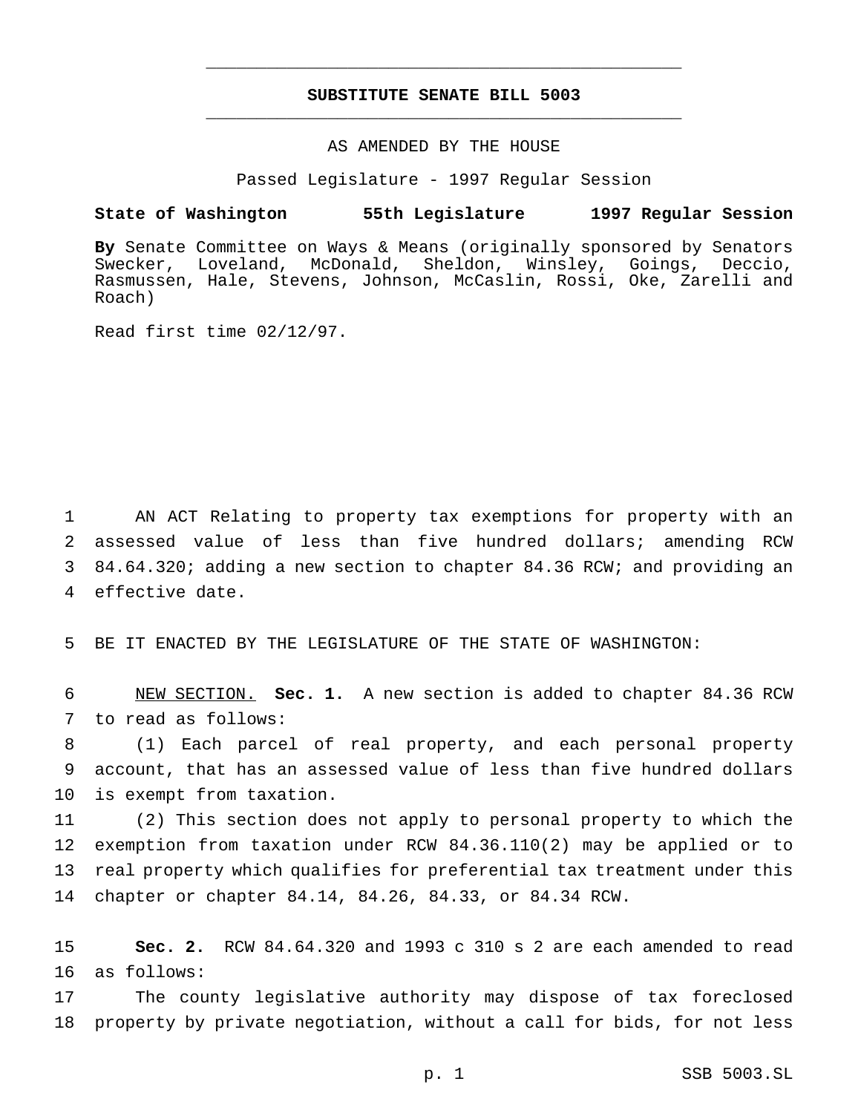## **SUBSTITUTE SENATE BILL 5003** \_\_\_\_\_\_\_\_\_\_\_\_\_\_\_\_\_\_\_\_\_\_\_\_\_\_\_\_\_\_\_\_\_\_\_\_\_\_\_\_\_\_\_\_\_\_\_

\_\_\_\_\_\_\_\_\_\_\_\_\_\_\_\_\_\_\_\_\_\_\_\_\_\_\_\_\_\_\_\_\_\_\_\_\_\_\_\_\_\_\_\_\_\_\_

### AS AMENDED BY THE HOUSE

Passed Legislature - 1997 Regular Session

## **State of Washington 55th Legislature 1997 Regular Session**

**By** Senate Committee on Ways & Means (originally sponsored by Senators Swecker, Loveland, McDonald, Sheldon, Winsley, Goings, Deccio, Rasmussen, Hale, Stevens, Johnson, McCaslin, Rossi, Oke, Zarelli and Roach)

Read first time 02/12/97.

 AN ACT Relating to property tax exemptions for property with an assessed value of less than five hundred dollars; amending RCW 84.64.320; adding a new section to chapter 84.36 RCW; and providing an effective date.

5 BE IT ENACTED BY THE LEGISLATURE OF THE STATE OF WASHINGTON:

6 NEW SECTION. **Sec. 1.** A new section is added to chapter 84.36 RCW 7 to read as follows:

8 (1) Each parcel of real property, and each personal property 9 account, that has an assessed value of less than five hundred dollars 10 is exempt from taxation.

 (2) This section does not apply to personal property to which the exemption from taxation under RCW 84.36.110(2) may be applied or to real property which qualifies for preferential tax treatment under this chapter or chapter 84.14, 84.26, 84.33, or 84.34 RCW.

15 **Sec. 2.** RCW 84.64.320 and 1993 c 310 s 2 are each amended to read 16 as follows:

17 The county legislative authority may dispose of tax foreclosed 18 property by private negotiation, without a call for bids, for not less